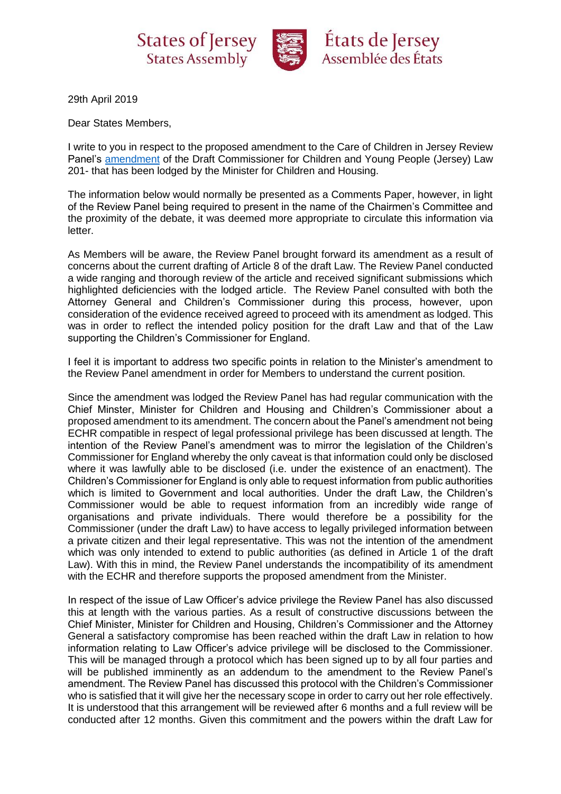

29th April 2019

Dear States Members,

I write to you in respect to the proposed amendment to the Care of Children in Jersey Review Panel's [amendment](https://statesassembly.gov.je/ScrutinyReports/2019/Amendment%20-%20Draft%20Commissioner%20for%20Children%20and%20Young%20People%20(Jersey)%20Law%20201-%2015%20April%202019.pdf) of the Draft Commissioner for Children and Young People (Jersey) Law 201- that has been lodged by the Minister for Children and Housing.

The information below would normally be presented as a Comments Paper, however, in light of the Review Panel being required to present in the name of the Chairmen's Committee and the proximity of the debate, it was deemed more appropriate to circulate this information via letter.

As Members will be aware, the Review Panel brought forward its amendment as a result of concerns about the current drafting of Article 8 of the draft Law. The Review Panel conducted a wide ranging and thorough review of the article and received significant submissions which highlighted deficiencies with the lodged article. The Review Panel consulted with both the Attorney General and Children's Commissioner during this process, however, upon consideration of the evidence received agreed to proceed with its amendment as lodged. This was in order to reflect the intended policy position for the draft Law and that of the Law supporting the Children's Commissioner for England.

I feel it is important to address two specific points in relation to the Minister's amendment to the Review Panel amendment in order for Members to understand the current position.

Since the amendment was lodged the Review Panel has had regular communication with the Chief Minster, Minister for Children and Housing and Children's Commissioner about a proposed amendment to its amendment. The concern about the Panel's amendment not being ECHR compatible in respect of legal professional privilege has been discussed at length. The intention of the Review Panel's amendment was to mirror the legislation of the Children's Commissioner for England whereby the only caveat is that information could only be disclosed where it was lawfully able to be disclosed (i.e. under the existence of an enactment). The Children's Commissioner for England is only able to request information from public authorities which is limited to Government and local authorities. Under the draft Law, the Children's Commissioner would be able to request information from an incredibly wide range of organisations and private individuals. There would therefore be a possibility for the Commissioner (under the draft Law) to have access to legally privileged information between a private citizen and their legal representative. This was not the intention of the amendment which was only intended to extend to public authorities (as defined in Article 1 of the draft Law). With this in mind, the Review Panel understands the incompatibility of its amendment with the ECHR and therefore supports the proposed amendment from the Minister.

In respect of the issue of Law Officer's advice privilege the Review Panel has also discussed this at length with the various parties. As a result of constructive discussions between the Chief Minister, Minister for Children and Housing, Children's Commissioner and the Attorney General a satisfactory compromise has been reached within the draft Law in relation to how information relating to Law Officer's advice privilege will be disclosed to the Commissioner. This will be managed through a protocol which has been signed up to by all four parties and will be published imminently as an addendum to the amendment to the Review Panel's amendment. The Review Panel has discussed this protocol with the Children's Commissioner who is satisfied that it will give her the necessary scope in order to carry out her role effectively. It is understood that this arrangement will be reviewed after 6 months and a full review will be conducted after 12 months. Given this commitment and the powers within the draft Law for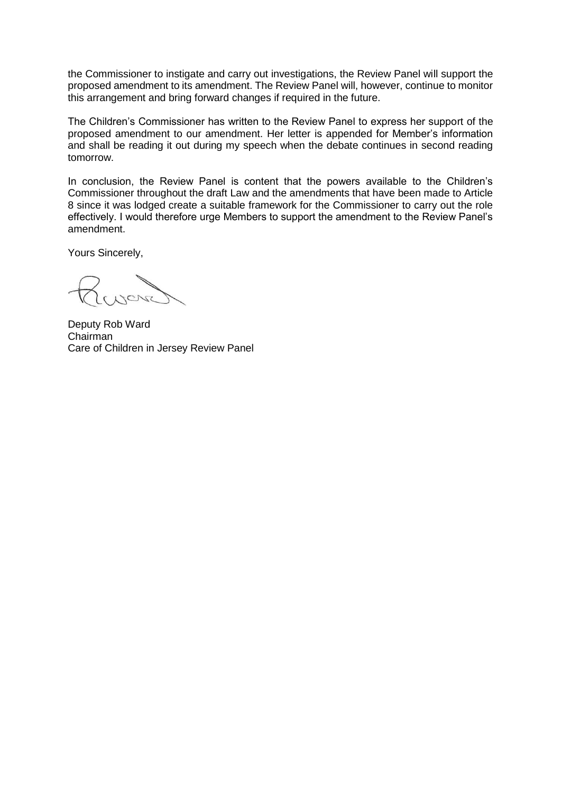the Commissioner to instigate and carry out investigations, the Review Panel will support the proposed amendment to its amendment. The Review Panel will, however, continue to monitor this arrangement and bring forward changes if required in the future.

The Children's Commissioner has written to the Review Panel to express her support of the proposed amendment to our amendment. Her letter is appended for Member's information and shall be reading it out during my speech when the debate continues in second reading tomorrow.

In conclusion, the Review Panel is content that the powers available to the Children's Commissioner throughout the draft Law and the amendments that have been made to Article 8 since it was lodged create a suitable framework for the Commissioner to carry out the role effectively. I would therefore urge Members to support the amendment to the Review Panel's amendment.

Yours Sincerely,

**CAG** 

Deputy Rob Ward Chairman Care of Children in Jersey Review Panel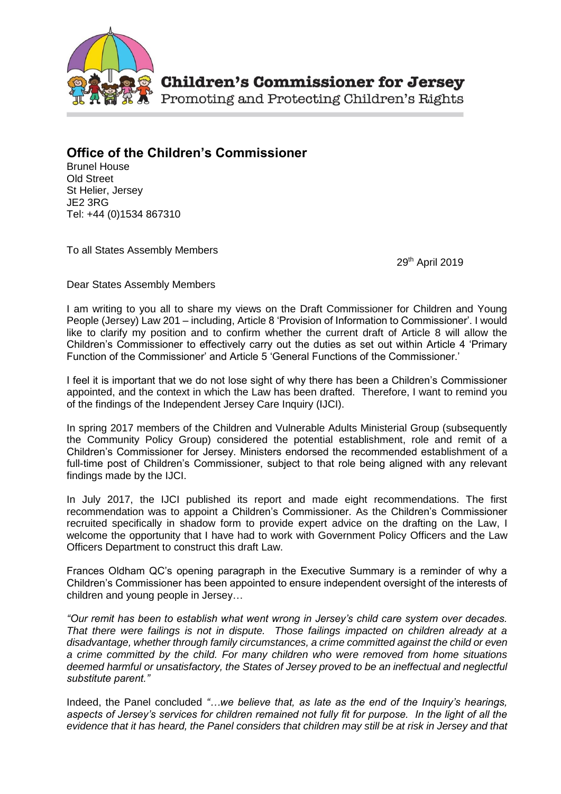

Promoting and Protecting Children's Rights

## **Office of the Children's Commissioner**

Brunel House Old Street St Helier, Jersey JE2 3RG Tel: +44 (0)1534 867310

To all States Assembly Members

29th April 2019

Dear States Assembly Members

I am writing to you all to share my views on the Draft Commissioner for Children and Young People (Jersey) Law 201 – including, Article 8 'Provision of Information to Commissioner'. I would like to clarify my position and to confirm whether the current draft of Article 8 will allow the Children's Commissioner to effectively carry out the duties as set out within Article 4 'Primary Function of the Commissioner' and Article 5 'General Functions of the Commissioner.'

I feel it is important that we do not lose sight of why there has been a Children's Commissioner appointed, and the context in which the Law has been drafted. Therefore, I want to remind you of the findings of the Independent Jersey Care Inquiry (IJCI).

In spring 2017 members of the Children and Vulnerable Adults Ministerial Group (subsequently the Community Policy Group) considered the potential establishment, role and remit of a Children's Commissioner for Jersey. Ministers endorsed the recommended establishment of a full-time post of Children's Commissioner, subject to that role being aligned with any relevant findings made by the IJCI.

In July 2017, the IJCI published its report and made eight recommendations. The first recommendation was to appoint a Children's Commissioner. As the Children's Commissioner recruited specifically in shadow form to provide expert advice on the drafting on the Law, I welcome the opportunity that I have had to work with Government Policy Officers and the Law Officers Department to construct this draft Law.

Frances Oldham QC's opening paragraph in the Executive Summary is a reminder of why a Children's Commissioner has been appointed to ensure independent oversight of the interests of children and young people in Jersey…

*"Our remit has been to establish what went wrong in Jersey's child care system over decades. That there were failings is not in dispute. Those failings impacted on children already at a disadvantage, whether through family circumstances, a crime committed against the child or even a crime committed by the child. For many children who were removed from home situations deemed harmful or unsatisfactory, the States of Jersey proved to be an ineffectual and neglectful substitute parent."*

Indeed, the Panel concluded "...we believe that, as late as the end of the Inquiry's hearings, aspects of Jersey's services for children remained not fully fit for purpose. In the light of all the *evidence that it has heard, the Panel considers that children may still be at risk in Jersey and that*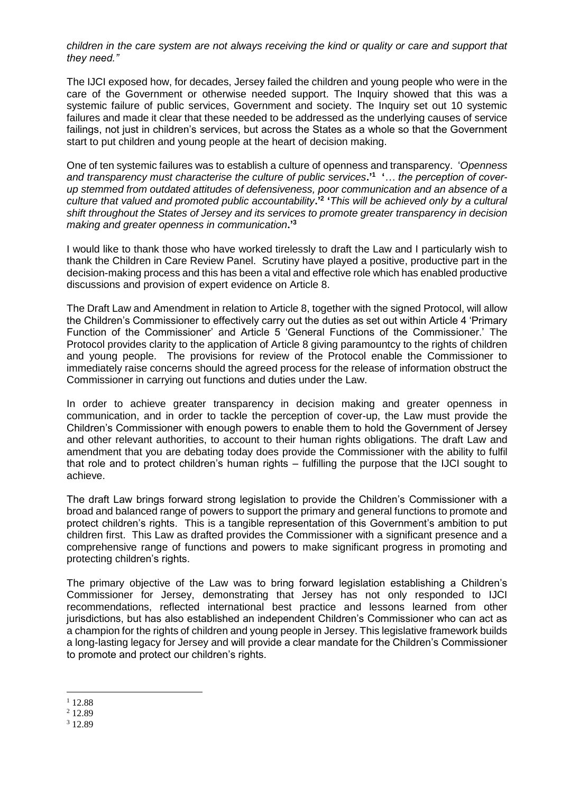*children in the care system are not always receiving the kind or quality or care and support that they need."*

The IJCI exposed how, for decades, Jersey failed the children and young people who were in the care of the Government or otherwise needed support. The Inquiry showed that this was a systemic failure of public services, Government and society. The Inquiry set out 10 systemic failures and made it clear that these needed to be addressed as the underlying causes of service failings, not just in children's services, but across the States as a whole so that the Government start to put children and young people at the heart of decision making.

One of ten systemic failures was to establish a culture of openness and transparency. '*Openness and transparency must characterise the culture of public services***.'<sup>1</sup> '***… the perception of coverup stemmed from outdated attitudes of defensiveness, poor communication and an absence of a culture that valued and promoted public accountability***.'<sup>2</sup> '***This will be achieved only by a cultural shift throughout the States of Jersey and its services to promote greater transparency in decision making and greater openness in communication***.'<sup>3</sup>**

I would like to thank those who have worked tirelessly to draft the Law and I particularly wish to thank the Children in Care Review Panel. Scrutiny have played a positive, productive part in the decision-making process and this has been a vital and effective role which has enabled productive discussions and provision of expert evidence on Article 8.

The Draft Law and Amendment in relation to Article 8, together with the signed Protocol, will allow the Children's Commissioner to effectively carry out the duties as set out within Article 4 'Primary Function of the Commissioner' and Article 5 'General Functions of the Commissioner.' The Protocol provides clarity to the application of Article 8 giving paramountcy to the rights of children and young people. The provisions for review of the Protocol enable the Commissioner to immediately raise concerns should the agreed process for the release of information obstruct the Commissioner in carrying out functions and duties under the Law.

In order to achieve greater transparency in decision making and greater openness in communication, and in order to tackle the perception of cover-up, the Law must provide the Children's Commissioner with enough powers to enable them to hold the Government of Jersey and other relevant authorities, to account to their human rights obligations. The draft Law and amendment that you are debating today does provide the Commissioner with the ability to fulfil that role and to protect children's human rights – fulfilling the purpose that the IJCI sought to achieve.

The draft Law brings forward strong legislation to provide the Children's Commissioner with a broad and balanced range of powers to support the primary and general functions to promote and protect children's rights. This is a tangible representation of this Government's ambition to put children first. This Law as drafted provides the Commissioner with a significant presence and a comprehensive range of functions and powers to make significant progress in promoting and protecting children's rights.

The primary objective of the Law was to bring forward legislation establishing a Children's Commissioner for Jersey, demonstrating that Jersey has not only responded to IJCI recommendations, reflected international best practice and lessons learned from other jurisdictions, but has also established an independent Children's Commissioner who can act as a champion for the rights of children and young people in Jersey. This legislative framework builds a long-lasting legacy for Jersey and will provide a clear mandate for the Children's Commissioner to promote and protect our children's rights.

<sup>&</sup>lt;u>.</u>  $112.88$ 

<sup>2</sup> 12.89

<sup>3</sup> 12.89